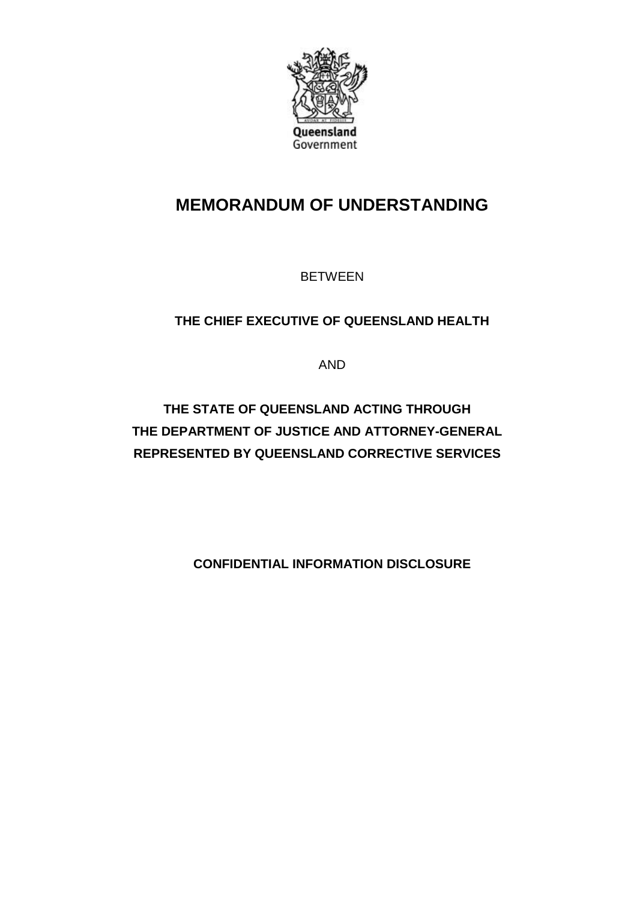

# **MEMORANDUM OF UNDERSTANDING**

BETWEEN

## **THE CHIEF EXECUTIVE OF QUEENSLAND HEALTH**

AND

**THE STATE OF QUEENSLAND ACTING THROUGH THE DEPARTMENT OF JUSTICE AND ATTORNEY-GENERAL REPRESENTED BY QUEENSLAND CORRECTIVE SERVICES**

**CONFIDENTIAL INFORMATION DISCLOSURE**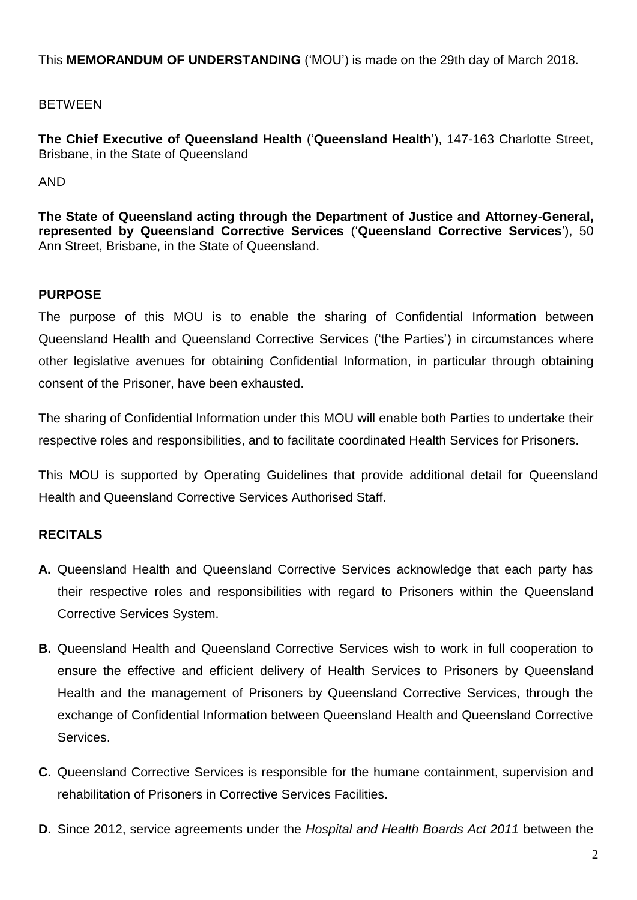This **MEMORANDUM OF UNDERSTANDING** ('MOU') is made on the 29th day of March 2018.

## BETWEEN

**The Chief Executive of Queensland Health** ('**Queensland Health**'), 147-163 Charlotte Street, Brisbane, in the State of Queensland

AND

**The State of Queensland acting through the Department of Justice and Attorney-General, represented by Queensland Corrective Services** ('**Queensland Corrective Services**'), 50 Ann Street, Brisbane, in the State of Queensland.

## **PURPOSE**

The purpose of this MOU is to enable the sharing of Confidential Information between Queensland Health and Queensland Corrective Services ('the Parties') in circumstances where other legislative avenues for obtaining Confidential Information, in particular through obtaining consent of the Prisoner, have been exhausted.

The sharing of Confidential Information under this MOU will enable both Parties to undertake their respective roles and responsibilities, and to facilitate coordinated Health Services for Prisoners.

This MOU is supported by Operating Guidelines that provide additional detail for Queensland Health and Queensland Corrective Services Authorised Staff.

## **RECITALS**

- **A.** Queensland Health and Queensland Corrective Services acknowledge that each party has their respective roles and responsibilities with regard to Prisoners within the Queensland Corrective Services System.
- **B.** Queensland Health and Queensland Corrective Services wish to work in full cooperation to ensure the effective and efficient delivery of Health Services to Prisoners by Queensland Health and the management of Prisoners by Queensland Corrective Services, through the exchange of Confidential Information between Queensland Health and Queensland Corrective Services.
- **C.** Queensland Corrective Services is responsible for the humane containment, supervision and rehabilitation of Prisoners in Corrective Services Facilities.
- **D.** Since 2012, service agreements under the *Hospital and Health Boards Act 2011* between the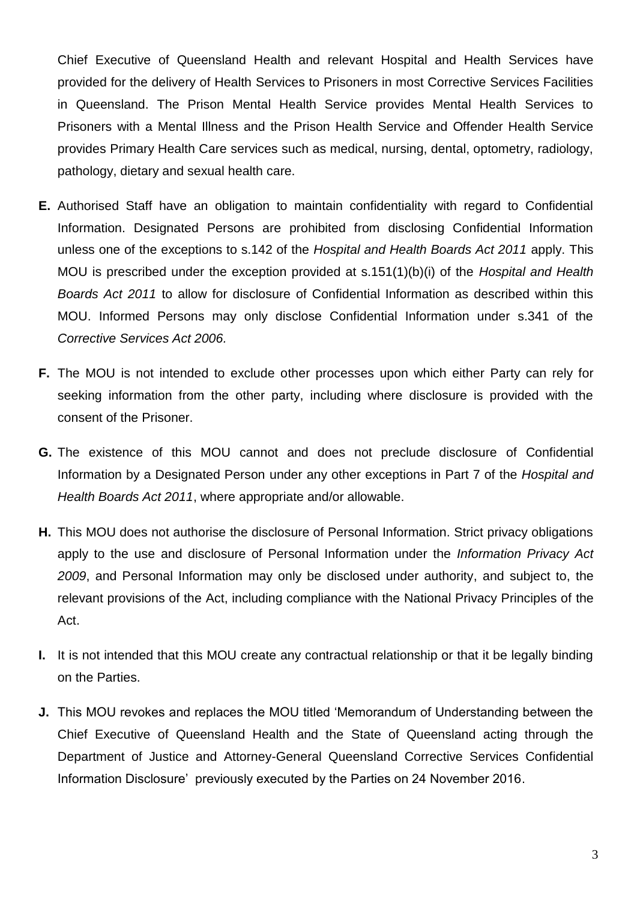Chief Executive of Queensland Health and relevant Hospital and Health Services have provided for the delivery of Health Services to Prisoners in most Corrective Services Facilities in Queensland. The Prison Mental Health Service provides Mental Health Services to Prisoners with a Mental Illness and the Prison Health Service and Offender Health Service provides Primary Health Care services such as medical, nursing, dental, optometry, radiology, pathology, dietary and sexual health care.

- **E.** Authorised Staff have an obligation to maintain confidentiality with regard to Confidential Information. Designated Persons are prohibited from disclosing Confidential Information unless one of the exceptions to s.142 of the *Hospital and Health Boards Act 2011* apply. This MOU is prescribed under the exception provided at s.151(1)(b)(i) of the *Hospital and Health Boards Act 2011* to allow for disclosure of Confidential Information as described within this MOU. Informed Persons may only disclose Confidential Information under s.341 of the *Corrective Services Act 2006.*
- **F.** The MOU is not intended to exclude other processes upon which either Party can rely for seeking information from the other party, including where disclosure is provided with the consent of the Prisoner.
- **G.** The existence of this MOU cannot and does not preclude disclosure of Confidential Information by a Designated Person under any other exceptions in Part 7 of the *Hospital and Health Boards Act 2011*, where appropriate and/or allowable.
- **H.** This MOU does not authorise the disclosure of Personal Information. Strict privacy obligations apply to the use and disclosure of Personal Information under the *Information Privacy Act 2009*, and Personal Information may only be disclosed under authority, and subject to, the relevant provisions of the Act, including compliance with the National Privacy Principles of the Act.
- **I.** It is not intended that this MOU create any contractual relationship or that it be legally binding on the Parties.
- **J.** This MOU revokes and replaces the MOU titled 'Memorandum of Understanding between the Chief Executive of Queensland Health and the State of Queensland acting through the Department of Justice and Attorney-General Queensland Corrective Services Confidential Information Disclosure' previously executed by the Parties on 24 November 2016.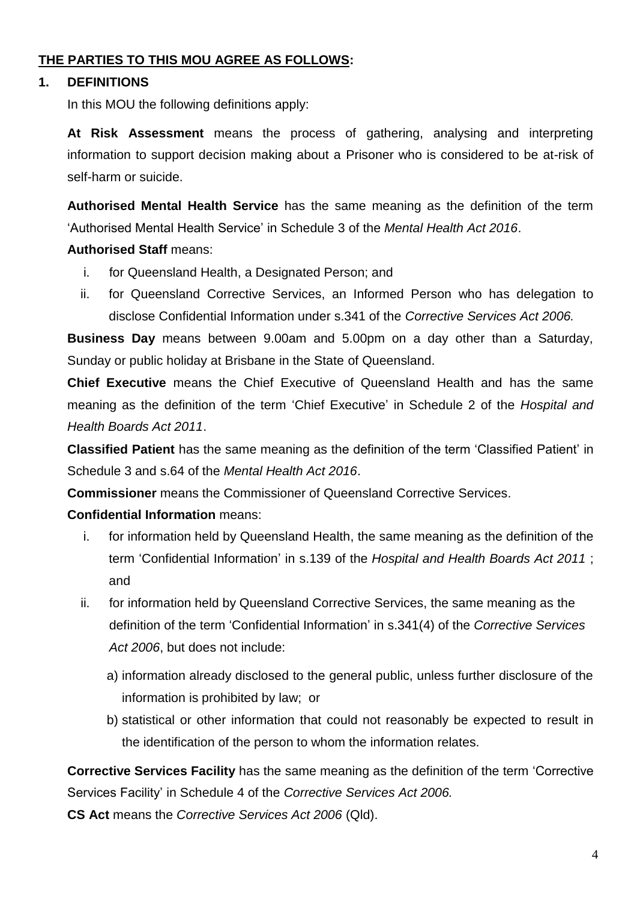### **THE PARTIES TO THIS MOU AGREE AS FOLLOWS:**

#### **1. DEFINITIONS**

In this MOU the following definitions apply:

**At Risk Assessment** means the process of gathering, analysing and interpreting information to support decision making about a Prisoner who is considered to be at-risk of self-harm or suicide.

**Authorised Mental Health Service** has the same meaning as the definition of the term 'Authorised Mental Health Service' in Schedule 3 of the *Mental Health Act 2016*.

### **Authorised Staff** means:

- i. for Queensland Health, a Designated Person; and
- ii. for Queensland Corrective Services, an Informed Person who has delegation to disclose Confidential Information under s.341 of the *Corrective Services Act 2006.*

**Business Day** means between 9.00am and 5.00pm on a day other than a Saturday, Sunday or public holiday at Brisbane in the State of Queensland.

**Chief Executive** means the Chief Executive of Queensland Health and has the same meaning as the definition of the term 'Chief Executive' in Schedule 2 of the *Hospital and Health Boards Act 2011*.

**Classified Patient** has the same meaning as the definition of the term 'Classified Patient' in Schedule 3 and s.64 of the *Mental Health Act 2016*.

**Commissioner** means the Commissioner of Queensland Corrective Services.

## **Confidential Information** means:

- i. for information held by Queensland Health, the same meaning as the definition of the term 'Confidential Information' in s.139 of the *Hospital and Health Boards Act 2011* ; and
- ii. for information held by Queensland Corrective Services, the same meaning as the definition of the term 'Confidential Information' in s.341(4) of the *Corrective Services Act 2006*, but does not include:
	- a) information already disclosed to the general public, unless further disclosure of the information is prohibited by law; or
	- b) statistical or other information that could not reasonably be expected to result in the identification of the person to whom the information relates.

**Corrective Services Facility** has the same meaning as the definition of the term 'Corrective Services Facility' in Schedule 4 of the *Corrective Services Act 2006.*

**CS Act** means the *Corrective Services Act 2006* (Qld).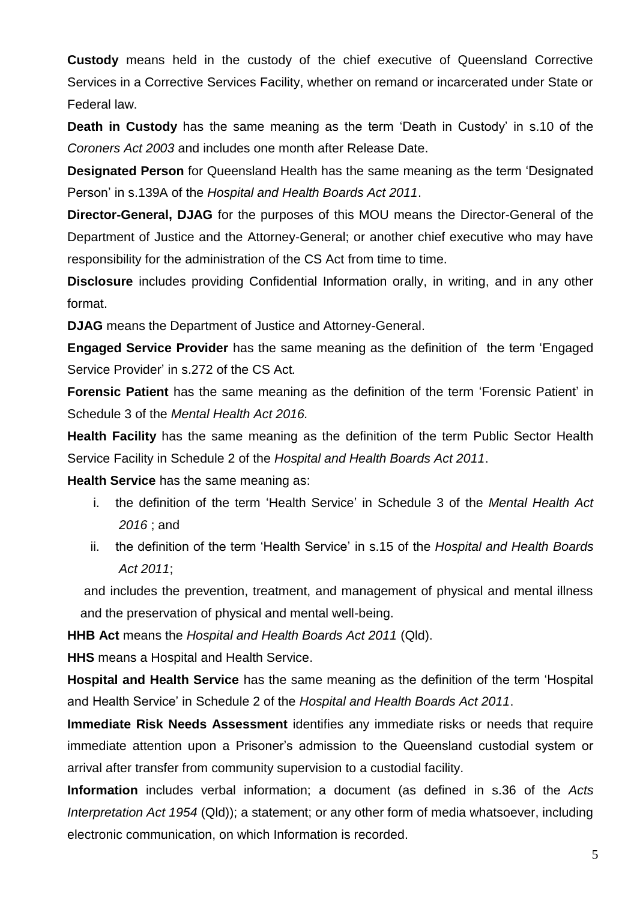**Custody** means held in the custody of the chief executive of Queensland Corrective Services in a Corrective Services Facility, whether on remand or incarcerated under State or Federal law.

**Death in Custody** has the same meaning as the term 'Death in Custody' in s.10 of the *Coroners Act 2003* and includes one month after Release Date.

**Designated Person** for Queensland Health has the same meaning as the term 'Designated Person' in s.139A of the *Hospital and Health Boards Act 2011*.

**Director-General, DJAG** for the purposes of this MOU means the Director-General of the Department of Justice and the Attorney-General; or another chief executive who may have responsibility for the administration of the CS Act from time to time.

**Disclosure** includes providing Confidential Information orally, in writing, and in any other format.

**DJAG** means the Department of Justice and Attorney-General.

**Engaged Service Provider** has the same meaning as the definition of the term 'Engaged Service Provider' in s.272 of the CS Act*.*

**Forensic Patient** has the same meaning as the definition of the term 'Forensic Patient' in Schedule 3 of the *Mental Health Act 2016.*

**Health Facility** has the same meaning as the definition of the term Public Sector Health Service Facility in Schedule 2 of the *Hospital and Health Boards Act 2011*.

**Health Service** has the same meaning as:

- i. the definition of the term 'Health Service' in Schedule 3 of the *Mental Health Act 2016* ; and
- ii. the definition of the term 'Health Service' in s.15 of the *Hospital and Health Boards Act 2011*;

and includes the prevention, treatment, and management of physical and mental illness and the preservation of physical and mental well-being.

**HHB Act** means the *Hospital and Health Boards Act 2011* (Qld).

**HHS** means a Hospital and Health Service.

**Hospital and Health Service** has the same meaning as the definition of the term 'Hospital and Health Service' in Schedule 2 of the *Hospital and Health Boards Act 2011*.

**Immediate Risk Needs Assessment** identifies any immediate risks or needs that require immediate attention upon a Prisoner's admission to the Queensland custodial system or arrival after transfer from community supervision to a custodial facility.

**Information** includes verbal information; a document (as defined in s.36 of the *Acts Interpretation Act 1954* (Qld)); a statement; or any other form of media whatsoever, including electronic communication, on which Information is recorded.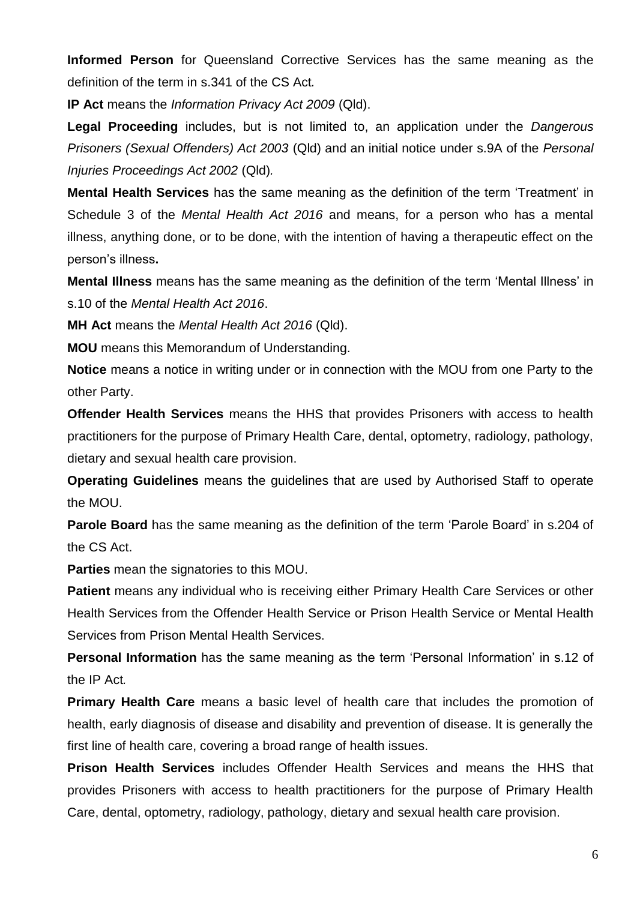**Informed Person** for Queensland Corrective Services has the same meaning as the definition of the term in s.341 of the CS Act*.*

**IP Act** means the *Information Privacy Act 2009* (Qld).

**Legal Proceeding** includes, but is not limited to, an application under the *Dangerous Prisoners (Sexual Offenders) Act 2003* (Qld) and an initial notice under s.9A of the *Personal Injuries Proceedings Act 2002* (Qld)*.*

**Mental Health Services** has the same meaning as the definition of the term 'Treatment' in Schedule 3 of the *Mental Health Act 2016* and means, for a person who has a mental illness, anything done, or to be done, with the intention of having a therapeutic effect on the person's illness**.**

**Mental Illness** means has the same meaning as the definition of the term 'Mental Illness' in s.10 of the *Mental Health Act 2016*.

**MH Act** means the *Mental Health Act 2016* (Qld).

**MOU** means this Memorandum of Understanding.

**Notice** means a notice in writing under or in connection with the MOU from one Party to the other Party.

**Offender Health Services** means the HHS that provides Prisoners with access to health practitioners for the purpose of Primary Health Care, dental, optometry, radiology, pathology, dietary and sexual health care provision.

**Operating Guidelines** means the guidelines that are used by Authorised Staff to operate the MOU.

**Parole Board** has the same meaning as the definition of the term 'Parole Board' in s.204 of the CS Act.

**Parties** mean the signatories to this MOU.

**Patient** means any individual who is receiving either Primary Health Care Services or other Health Services from the Offender Health Service or Prison Health Service or Mental Health Services from Prison Mental Health Services.

**Personal Information** has the same meaning as the term 'Personal Information' in s.12 of the IP Act*.*

**Primary Health Care** means a basic level of health care that includes the promotion of health, early diagnosis of disease and disability and prevention of disease. It is generally the first line of health care, covering a broad range of health issues.

**Prison Health Services** includes Offender Health Services and means the HHS that provides Prisoners with access to health practitioners for the purpose of Primary Health Care, dental, optometry, radiology, pathology, dietary and sexual health care provision.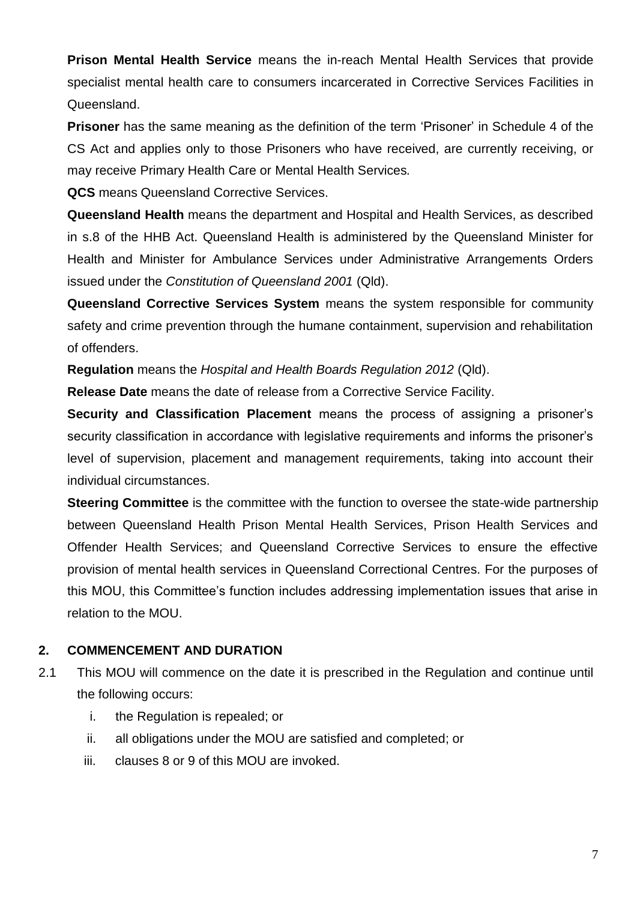**Prison Mental Health Service** means the in-reach Mental Health Services that provide specialist mental health care to consumers incarcerated in Corrective Services Facilities in Queensland.

**Prisoner** has the same meaning as the definition of the term 'Prisoner' in Schedule 4 of the CS Act and applies only to those Prisoners who have received, are currently receiving, or may receive Primary Health Care or Mental Health Services*.*

**QCS** means Queensland Corrective Services.

**Queensland Health** means the department and Hospital and Health Services, as described in s.8 of the HHB Act. Queensland Health is administered by the Queensland Minister for Health and Minister for Ambulance Services under Administrative Arrangements Orders issued under the *Constitution of Queensland 2001* (Qld).

**Queensland Corrective Services System** means the system responsible for community safety and crime prevention through the humane containment, supervision and rehabilitation of offenders.

**Regulation** means the *Hospital and Health Boards Regulation 2012* (Qld).

**Release Date** means the date of release from a Corrective Service Facility.

**Security and Classification Placement** means the process of assigning a prisoner's security classification in accordance with legislative requirements and informs the prisoner's level of supervision, placement and management requirements, taking into account their individual circumstances.

**Steering Committee** is the committee with the function to oversee the state-wide partnership between Queensland Health Prison Mental Health Services, Prison Health Services and Offender Health Services; and Queensland Corrective Services to ensure the effective provision of mental health services in Queensland Correctional Centres. For the purposes of this MOU, this Committee's function includes addressing implementation issues that arise in relation to the MOU.

#### **2. COMMENCEMENT AND DURATION**

- 2.1 This MOU will commence on the date it is prescribed in the Regulation and continue until the following occurs:
	- i. the Regulation is repealed; or
	- ii. all obligations under the MOU are satisfied and completed; or
	- iii. clauses 8 or 9 of this MOU are invoked.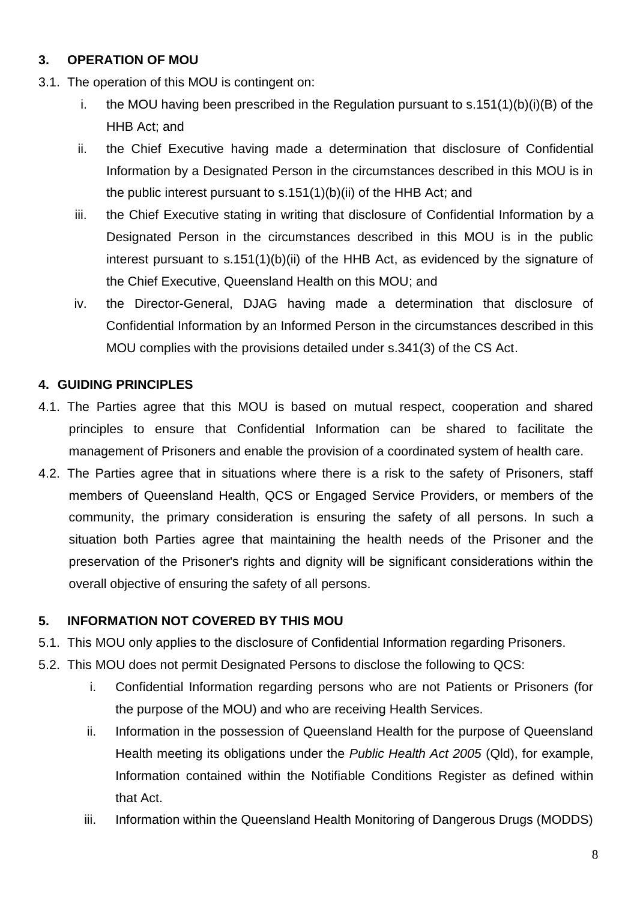## **3. OPERATION OF MOU**

- 3.1. The operation of this MOU is contingent on:
	- i. the MOU having been prescribed in the Regulation pursuant to s.151(1)(b)(i)(B) of the HHB Act; and
	- ii. the Chief Executive having made a determination that disclosure of Confidential Information by a Designated Person in the circumstances described in this MOU is in the public interest pursuant to s.151(1)(b)(ii) of the HHB Act; and
	- iii. the Chief Executive stating in writing that disclosure of Confidential Information by a Designated Person in the circumstances described in this MOU is in the public interest pursuant to s.151(1)(b)(ii) of the HHB Act, as evidenced by the signature of the Chief Executive, Queensland Health on this MOU; and
	- iv. the Director-General, DJAG having made a determination that disclosure of Confidential Information by an Informed Person in the circumstances described in this MOU complies with the provisions detailed under s.341(3) of the CS Act.

### **4. GUIDING PRINCIPLES**

- 4.1. The Parties agree that this MOU is based on mutual respect, cooperation and shared principles to ensure that Confidential Information can be shared to facilitate the management of Prisoners and enable the provision of a coordinated system of health care.
- 4.2. The Parties agree that in situations where there is a risk to the safety of Prisoners, staff members of Queensland Health, QCS or Engaged Service Providers, or members of the community, the primary consideration is ensuring the safety of all persons. In such a situation both Parties agree that maintaining the health needs of the Prisoner and the preservation of the Prisoner's rights and dignity will be significant considerations within the overall objective of ensuring the safety of all persons.

#### **5. INFORMATION NOT COVERED BY THIS MOU**

- 5.1. This MOU only applies to the disclosure of Confidential Information regarding Prisoners.
- 5.2. This MOU does not permit Designated Persons to disclose the following to QCS:
	- i. Confidential Information regarding persons who are not Patients or Prisoners (for the purpose of the MOU) and who are receiving Health Services.
	- ii. Information in the possession of Queensland Health for the purpose of Queensland Health meeting its obligations under the *Public Health Act 2005* (Qld), for example, Information contained within the Notifiable Conditions Register as defined within that Act.
	- iii. Information within the Queensland Health Monitoring of Dangerous Drugs (MODDS)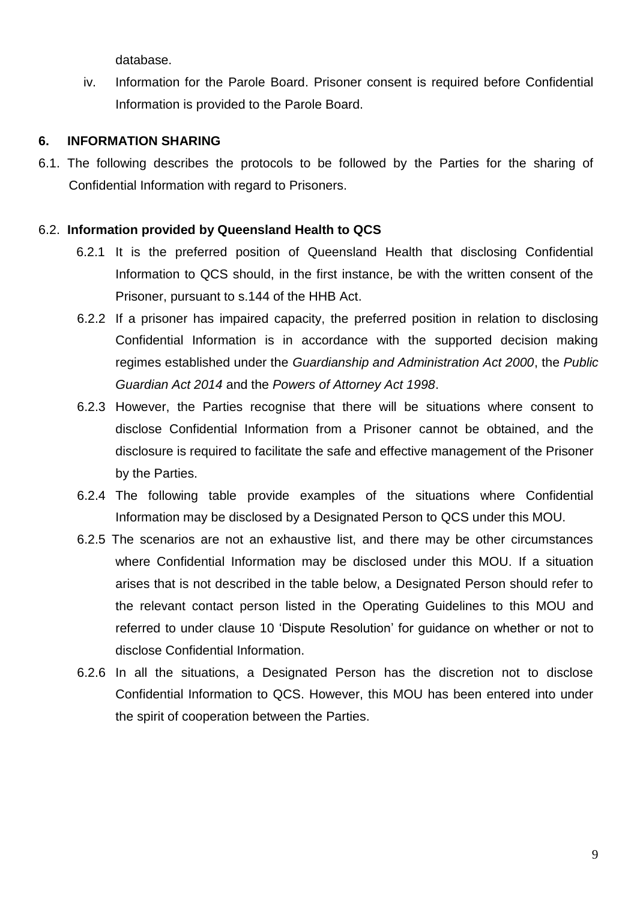database.

iv. Information for the Parole Board. Prisoner consent is required before Confidential Information is provided to the Parole Board.

#### **6. INFORMATION SHARING**

6.1. The following describes the protocols to be followed by the Parties for the sharing of Confidential Information with regard to Prisoners.

## 6.2. **Information provided by Queensland Health to QCS**

- 6.2.1 It is the preferred position of Queensland Health that disclosing Confidential Information to QCS should, in the first instance, be with the written consent of the Prisoner, pursuant to s.144 of the HHB Act.
- 6.2.2 If a prisoner has impaired capacity, the preferred position in relation to disclosing Confidential Information is in accordance with the supported decision making regimes established under the *Guardianship and Administration Act 2000*, the *Public Guardian Act 2014* and the *Powers of Attorney Act 1998*.
- 6.2.3 However, the Parties recognise that there will be situations where consent to disclose Confidential Information from a Prisoner cannot be obtained, and the disclosure is required to facilitate the safe and effective management of the Prisoner by the Parties.
- 6.2.4 The following table provide examples of the situations where Confidential Information may be disclosed by a Designated Person to QCS under this MOU.
- 6.2.5 The scenarios are not an exhaustive list, and there may be other circumstances where Confidential Information may be disclosed under this MOU. If a situation arises that is not described in the table below, a Designated Person should refer to the relevant contact person listed in the Operating Guidelines to this MOU and referred to under clause 10 'Dispute Resolution' for guidance on whether or not to disclose Confidential Information.
- 6.2.6 In all the situations, a Designated Person has the discretion not to disclose Confidential Information to QCS. However, this MOU has been entered into under the spirit of cooperation between the Parties.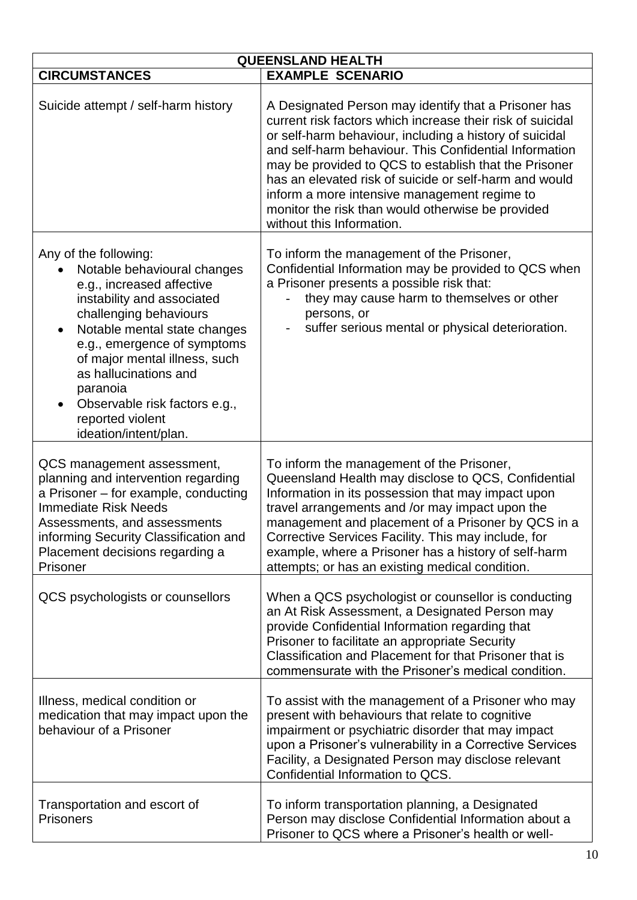| <b>QUEENSLAND HEALTH</b>                                                                                                                                                                                                                                                                                                                                                  |                                                                                                                                                                                                                                                                                                                                                                                                                                                                                              |
|---------------------------------------------------------------------------------------------------------------------------------------------------------------------------------------------------------------------------------------------------------------------------------------------------------------------------------------------------------------------------|----------------------------------------------------------------------------------------------------------------------------------------------------------------------------------------------------------------------------------------------------------------------------------------------------------------------------------------------------------------------------------------------------------------------------------------------------------------------------------------------|
| <b>CIRCUMSTANCES</b>                                                                                                                                                                                                                                                                                                                                                      | <b>EXAMPLE SCENARIO</b>                                                                                                                                                                                                                                                                                                                                                                                                                                                                      |
| Suicide attempt / self-harm history                                                                                                                                                                                                                                                                                                                                       | A Designated Person may identify that a Prisoner has<br>current risk factors which increase their risk of suicidal<br>or self-harm behaviour, including a history of suicidal<br>and self-harm behaviour. This Confidential Information<br>may be provided to QCS to establish that the Prisoner<br>has an elevated risk of suicide or self-harm and would<br>inform a more intensive management regime to<br>monitor the risk than would otherwise be provided<br>without this Information. |
| Any of the following:<br>Notable behavioural changes<br>e.g., increased affective<br>instability and associated<br>challenging behaviours<br>Notable mental state changes<br>$\bullet$<br>e.g., emergence of symptoms<br>of major mental illness, such<br>as hallucinations and<br>paranoia<br>Observable risk factors e.g.,<br>reported violent<br>ideation/intent/plan. | To inform the management of the Prisoner,<br>Confidential Information may be provided to QCS when<br>a Prisoner presents a possible risk that:<br>they may cause harm to themselves or other<br>persons, or<br>suffer serious mental or physical deterioration.                                                                                                                                                                                                                              |
| QCS management assessment,<br>planning and intervention regarding<br>a Prisoner - for example, conducting<br><b>Immediate Risk Needs</b><br>Assessments, and assessments<br>informing Security Classification and<br>Placement decisions regarding a<br>Prisoner                                                                                                          | To inform the management of the Prisoner,<br>Queensland Health may disclose to QCS, Confidential<br>Information in its possession that may impact upon<br>travel arrangements and /or may impact upon the<br>management and placement of a Prisoner by QCS in a<br>Corrective Services Facility. This may include, for<br>example, where a Prisoner has a history of self-harm<br>attempts; or has an existing medical condition.                                                            |
| QCS psychologists or counsellors                                                                                                                                                                                                                                                                                                                                          | When a QCS psychologist or counsellor is conducting<br>an At Risk Assessment, a Designated Person may<br>provide Confidential Information regarding that<br>Prisoner to facilitate an appropriate Security<br>Classification and Placement for that Prisoner that is<br>commensurate with the Prisoner's medical condition.                                                                                                                                                                  |
| Illness, medical condition or<br>medication that may impact upon the<br>behaviour of a Prisoner                                                                                                                                                                                                                                                                           | To assist with the management of a Prisoner who may<br>present with behaviours that relate to cognitive<br>impairment or psychiatric disorder that may impact<br>upon a Prisoner's vulnerability in a Corrective Services<br>Facility, a Designated Person may disclose relevant<br>Confidential Information to QCS.                                                                                                                                                                         |
| Transportation and escort of<br><b>Prisoners</b>                                                                                                                                                                                                                                                                                                                          | To inform transportation planning, a Designated<br>Person may disclose Confidential Information about a<br>Prisoner to QCS where a Prisoner's health or well-                                                                                                                                                                                                                                                                                                                                |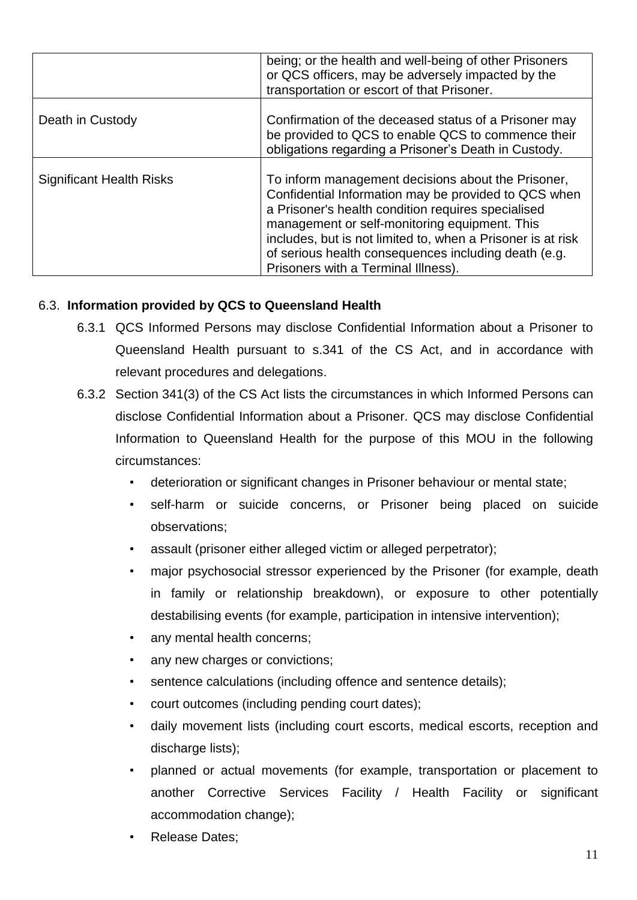|                                 | being; or the health and well-being of other Prisoners<br>or QCS officers, may be adversely impacted by the<br>transportation or escort of that Prisoner.                                                                                                                                                                                                                       |
|---------------------------------|---------------------------------------------------------------------------------------------------------------------------------------------------------------------------------------------------------------------------------------------------------------------------------------------------------------------------------------------------------------------------------|
| Death in Custody                | Confirmation of the deceased status of a Prisoner may<br>be provided to QCS to enable QCS to commence their<br>obligations regarding a Prisoner's Death in Custody.                                                                                                                                                                                                             |
| <b>Significant Health Risks</b> | To inform management decisions about the Prisoner,<br>Confidential Information may be provided to QCS when<br>a Prisoner's health condition requires specialised<br>management or self-monitoring equipment. This<br>includes, but is not limited to, when a Prisoner is at risk<br>of serious health consequences including death (e.g.<br>Prisoners with a Terminal Illness). |

#### 6.3. **Information provided by QCS to Queensland Health**

- 6.3.1 QCS Informed Persons may disclose Confidential Information about a Prisoner to Queensland Health pursuant to s.341 of the CS Act, and in accordance with relevant procedures and delegations.
- 6.3.2 Section 341(3) of the CS Act lists the circumstances in which Informed Persons can disclose Confidential Information about a Prisoner. QCS may disclose Confidential Information to Queensland Health for the purpose of this MOU in the following circumstances:
	- deterioration or significant changes in Prisoner behaviour or mental state;
	- self-harm or suicide concerns, or Prisoner being placed on suicide observations;
	- assault (prisoner either alleged victim or alleged perpetrator);
	- major psychosocial stressor experienced by the Prisoner (for example, death in family or relationship breakdown), or exposure to other potentially destabilising events (for example, participation in intensive intervention);
	- any mental health concerns;
	- any new charges or convictions;
	- sentence calculations (including offence and sentence details);
	- court outcomes (including pending court dates);
	- daily movement lists (including court escorts, medical escorts, reception and discharge lists);
	- planned or actual movements (for example, transportation or placement to another Corrective Services Facility / Health Facility or significant accommodation change);
	- Release Dates;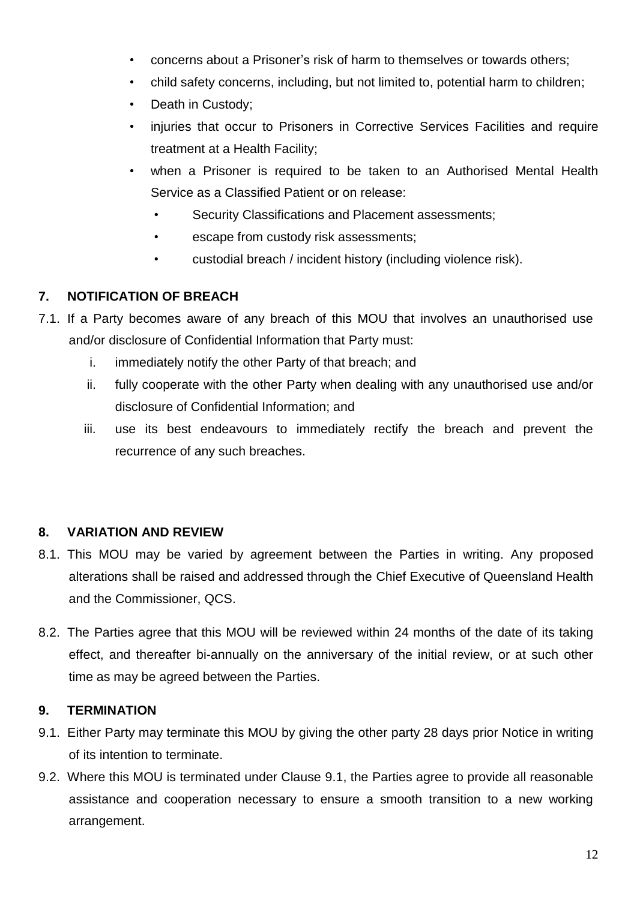- concerns about a Prisoner's risk of harm to themselves or towards others;
- child safety concerns, including, but not limited to, potential harm to children;
- Death in Custody;
- injuries that occur to Prisoners in Corrective Services Facilities and require treatment at a Health Facility;
- when a Prisoner is required to be taken to an Authorised Mental Health Service as a Classified Patient or on release:
	- Security Classifications and Placement assessments;
	- escape from custody risk assessments;
	- custodial breach / incident history (including violence risk).

## **7. NOTIFICATION OF BREACH**

- 7.1. If a Party becomes aware of any breach of this MOU that involves an unauthorised use and/or disclosure of Confidential Information that Party must:
	- i. immediately notify the other Party of that breach; and
	- ii. fully cooperate with the other Party when dealing with any unauthorised use and/or disclosure of Confidential Information; and
	- iii. use its best endeavours to immediately rectify the breach and prevent the recurrence of any such breaches.

## **8. VARIATION AND REVIEW**

- 8.1. This MOU may be varied by agreement between the Parties in writing. Any proposed alterations shall be raised and addressed through the Chief Executive of Queensland Health and the Commissioner, QCS.
- 8.2. The Parties agree that this MOU will be reviewed within 24 months of the date of its taking effect, and thereafter bi-annually on the anniversary of the initial review, or at such other time as may be agreed between the Parties.

#### **9. TERMINATION**

- 9.1. Either Party may terminate this MOU by giving the other party 28 days prior Notice in writing of its intention to terminate.
- 9.2. Where this MOU is terminated under Clause 9.1, the Parties agree to provide all reasonable assistance and cooperation necessary to ensure a smooth transition to a new working arrangement.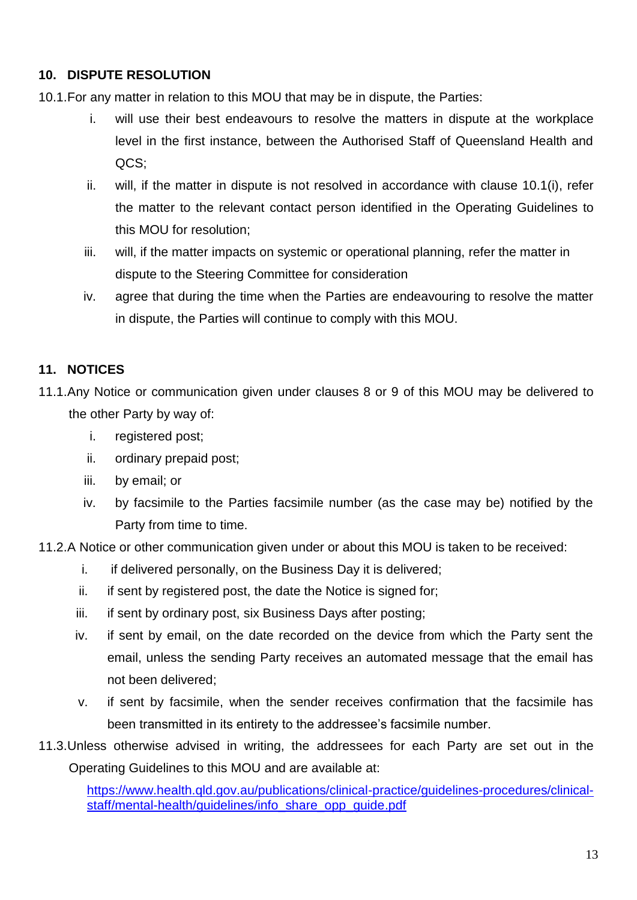### **10. DISPUTE RESOLUTION**

- 10.1.For any matter in relation to this MOU that may be in dispute, the Parties:
	- i. will use their best endeavours to resolve the matters in dispute at the workplace level in the first instance, between the Authorised Staff of Queensland Health and QCS;
	- ii. will, if the matter in dispute is not resolved in accordance with clause 10.1(i), refer the matter to the relevant contact person identified in the Operating Guidelines to this MOU for resolution;
	- iii. will, if the matter impacts on systemic or operational planning, refer the matter in dispute to the Steering Committee for consideration
	- iv. agree that during the time when the Parties are endeavouring to resolve the matter in dispute, the Parties will continue to comply with this MOU.

### **11. NOTICES**

- 11.1.Any Notice or communication given under clauses 8 or 9 of this MOU may be delivered to the other Party by way of:
	- i. registered post;
	- ii. ordinary prepaid post;
	- iii. by email; or
	- iv. by facsimile to the Parties facsimile number (as the case may be) notified by the Party from time to time.
- 11.2.A Notice or other communication given under or about this MOU is taken to be received:
	- i. if delivered personally, on the Business Day it is delivered;
	- ii. if sent by registered post, the date the Notice is signed for;
	- iii. if sent by ordinary post, six Business Days after posting;
	- iv. if sent by email, on the date recorded on the device from which the Party sent the email, unless the sending Party receives an automated message that the email has not been delivered;
	- v. if sent by facsimile, when the sender receives confirmation that the facsimile has been transmitted in its entirety to the addressee's facsimile number.
- 11.3.Unless otherwise advised in writing, the addressees for each Party are set out in the Operating Guidelines to this MOU and are available at:

https://www.health.gld.gov.au/publications/clinical-practice/guidelines-procedures/clinical[staff/mental-health/guidelines/info\\_share\\_opp\\_guide.pdf](https://www.health.qld.gov.au/publications/clinical-practice/guidelines-procedures/clinical-staff/mental-health/guidelines/info_share_opp_guide.pdf)